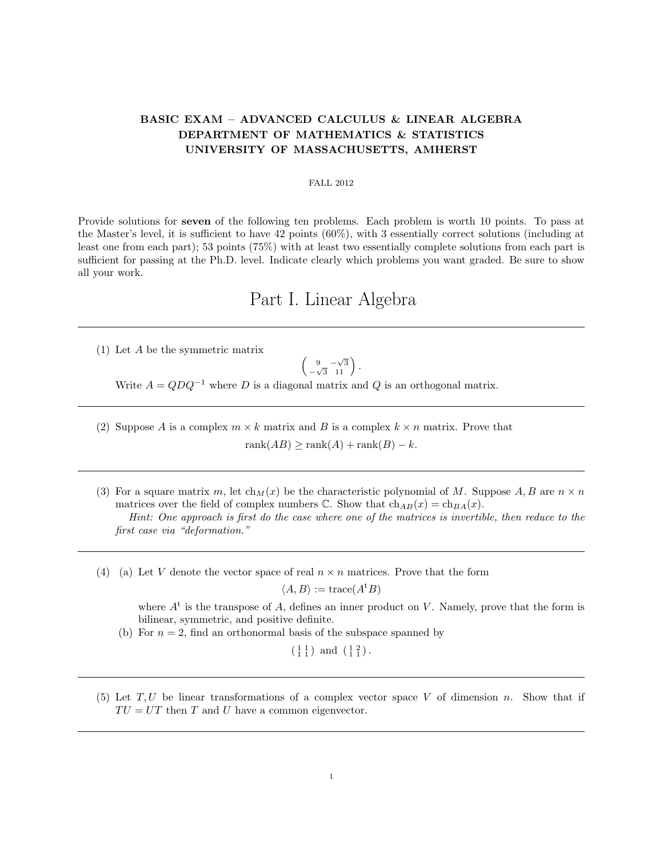## BASIC EXAM – ADVANCED CALCULUS & LINEAR ALGEBRA DEPARTMENT OF MATHEMATICS & STATISTICS UNIVERSITY OF MASSACHUSETTS, AMHERST

## FALL 2012

Provide solutions for seven of the following ten problems. Each problem is worth 10 points. To pass at the Master's level, it is sufficient to have 42 points (60%), with 3 essentially correct solutions (including at least one from each part); 53 points (75%) with at least two essentially complete solutions from each part is sufficient for passing at the Ph.D. level. Indicate clearly which problems you want graded. Be sure to show all your work.

## Part I. Linear Algebra

(1) Let A be the symmetric matrix

$$
\begin{pmatrix} 9 & -\sqrt{3} \\ -\sqrt{3} & 11 \end{pmatrix}.
$$

Write  $A = QDQ^{-1}$  where D is a diagonal matrix and Q is an orthogonal matrix.

(2) Suppose A is a complex  $m \times k$  matrix and B is a complex  $k \times n$  matrix. Prove that

 $rank(AB) \geq rank(A) + rank(B) - k.$ 

(3) For a square matrix m, let  $\text{ch}_M(x)$  be the characteristic polynomial of M. Suppose A, B are  $n \times n$ matrices over the field of complex numbers  $\mathbb{C}$ . Show that  $ch_{AB}(x) = ch_{BA}(x)$ .

Hint: One approach is first do the case where one of the matrices is invertible, then reduce to the first case via "deformation."

(4) (a) Let V denote the vector space of real  $n \times n$  matrices. Prove that the form

$$
\langle A, B \rangle := \text{trace}(A^{\text{t}}B)
$$

where  $A<sup>t</sup>$  is the transpose of A, defines an inner product on V. Namely, prove that the form is bilinear, symmetric, and positive definite.

(b) For  $n = 2$ , find an orthonormal basis of the subspace spanned by

 $\begin{pmatrix} 1 & 1 \\ 1 & 1 \end{pmatrix}$  and  $\begin{pmatrix} 1 & 2 \\ 1 & 1 \end{pmatrix}$ .

(5) Let  $T, U$  be linear transformations of a complex vector space V of dimension n. Show that if  $TU = UT$  then T and U have a common eigenvector.